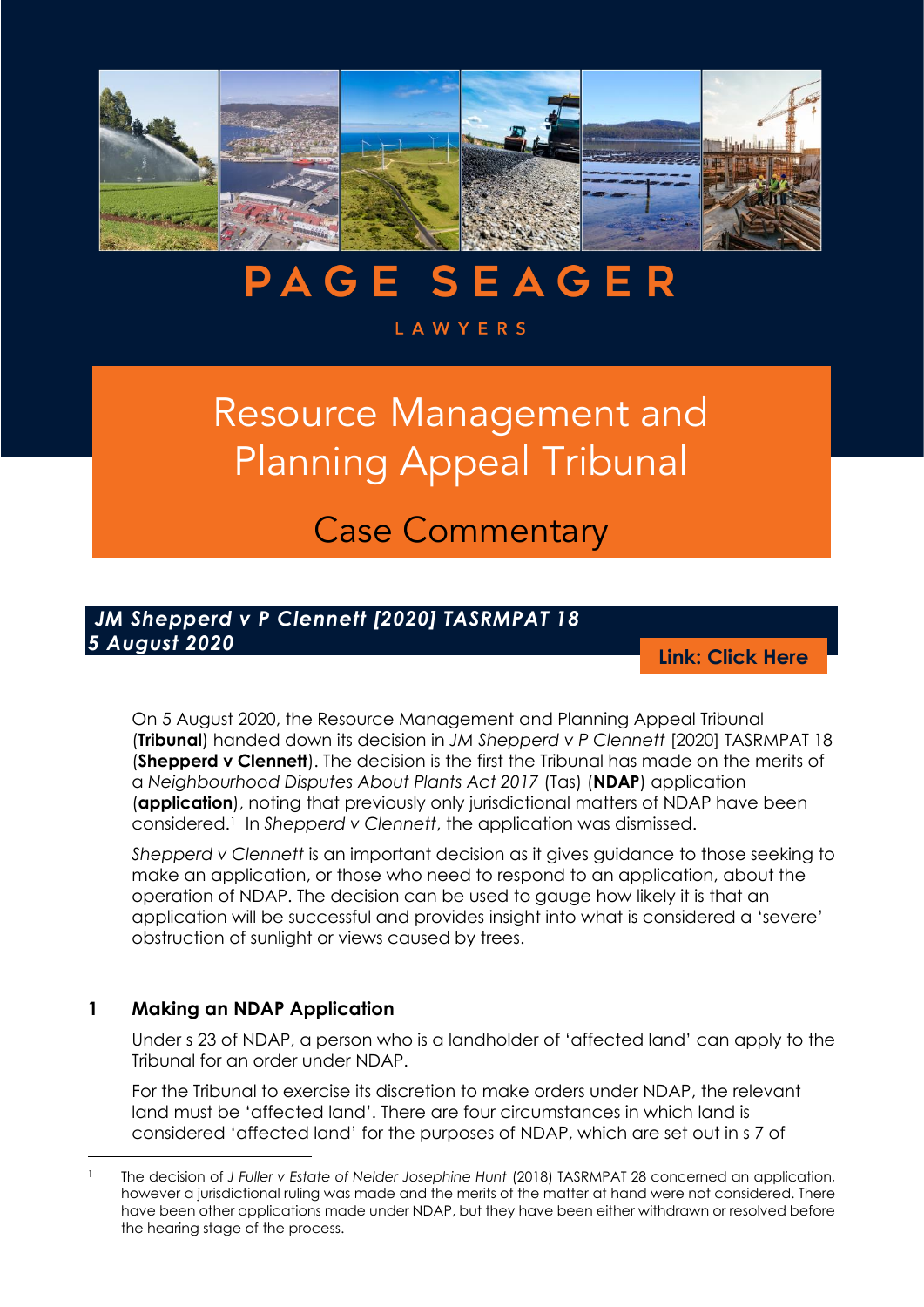

# **PAGE SEAGER**

#### **LAWYERS**

# Resource Management and Planning Appeal Tribunal

Case Commentary

# *JM Shepperd v P Clennett [2020] TASRMPAT 18 5 August 2020*

**[Link: Click Here](http://www.austlii.edu.au/au/cases/tas/TASRMPAT/2020/18.pdf)**

On 5 August 2020, the Resource Management and Planning Appeal Tribunal (**Tribunal**) handed down its decision in *JM Shepperd v P Clennett* [2020] TASRMPAT 18 (**Shepperd v Clennett**). The decision is the first the Tribunal has made on the merits of a *Neighbourhood Disputes About Plants Act 2017* (Tas) (**NDAP**) application (**application**), noting that previously only jurisdictional matters of NDAP have been considered.<sup>1</sup> In *Shepperd v Clennett*, the application was dismissed.

*Shepperd v Clennett* is an important decision as it gives guidance to those seeking to make an application, or those who need to respond to an application, about the operation of NDAP. The decision can be used to gauge how likely it is that an application will be successful and provides insight into what is considered a 'severe' obstruction of sunlight or views caused by trees.

#### **1 Making an NDAP Application**

Under s 23 of NDAP, a person who is a landholder of 'affected land' can apply to the Tribunal for an order under NDAP.

For the Tribunal to exercise its discretion to make orders under NDAP, the relevant land must be 'affected land'. There are four circumstances in which land is considered 'affected land' for the purposes of NDAP, which are set out in s 7 of

<sup>1</sup> The decision of *J Fuller v Estate of Nelder Josephine Hunt* (2018) TASRMPAT 28 concerned an application, however a jurisdictional ruling was made and the merits of the matter at hand were not considered. There have been other applications made under NDAP, but they have been either withdrawn or resolved before the hearing stage of the process.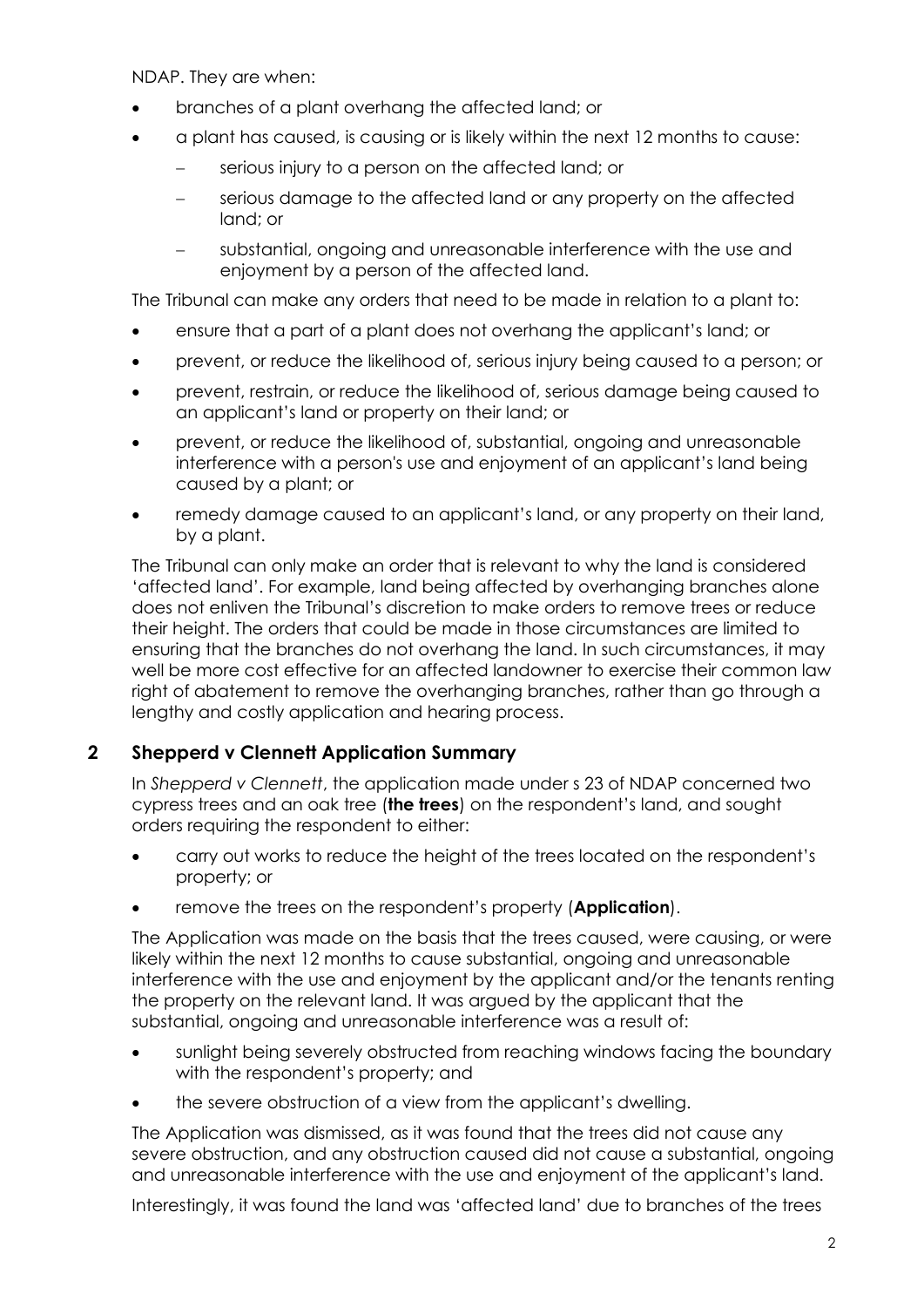NDAP. They are when:

- branches of a plant overhang the affected land; or
- a plant has caused, is causing or is likely within the next 12 months to cause:
	- serious injury to a person on the affected land; or
	- − serious damage to the affected land or any property on the affected land; or
	- substantial, ongoing and unreasonable interference with the use and enjoyment by a person of the affected land.

The Tribunal can make any orders that need to be made in relation to a plant to:

- ensure that a part of a plant does not overhang the applicant's land; or
- prevent, or reduce the likelihood of, serious injury being caused to a person; or
- prevent, restrain, or reduce the likelihood of, serious damage being caused to an applicant's land or property on their land; or
- prevent, or reduce the likelihood of, substantial, ongoing and unreasonable interference with a person's use and enjoyment of an applicant's land being caused by a plant; or
- remedy damage caused to an applicant's land, or any property on their land, by a plant.

The Tribunal can only make an order that is relevant to why the land is considered 'affected land'. For example, land being affected by overhanging branches alone does not enliven the Tribunal's discretion to make orders to remove trees or reduce their height. The orders that could be made in those circumstances are limited to ensuring that the branches do not overhang the land. In such circumstances, it may well be more cost effective for an affected landowner to exercise their common law right of abatement to remove the overhanging branches, rather than go through a lengthy and costly application and hearing process.

# **2 Shepperd v Clennett Application Summary**

In *Shepperd v Clennett*, the application made under s 23 of NDAP concerned two cypress trees and an oak tree (**the trees**) on the respondent's land, and sought orders requiring the respondent to either:

- carry out works to reduce the height of the trees located on the respondent's property; or
- remove the trees on the respondent's property (**Application**).

The Application was made on the basis that the trees caused, were causing, or were likely within the next 12 months to cause substantial, ongoing and unreasonable interference with the use and enjoyment by the applicant and/or the tenants renting the property on the relevant land. It was argued by the applicant that the substantial, ongoing and unreasonable interference was a result of:

- sunlight being severely obstructed from reaching windows facing the boundary with the respondent's property; and
- the severe obstruction of a view from the applicant's dwelling.

The Application was dismissed, as it was found that the trees did not cause any severe obstruction, and any obstruction caused did not cause a substantial, ongoing and unreasonable interference with the use and enjoyment of the applicant's land.

Interestingly, it was found the land was 'affected land' due to branches of the trees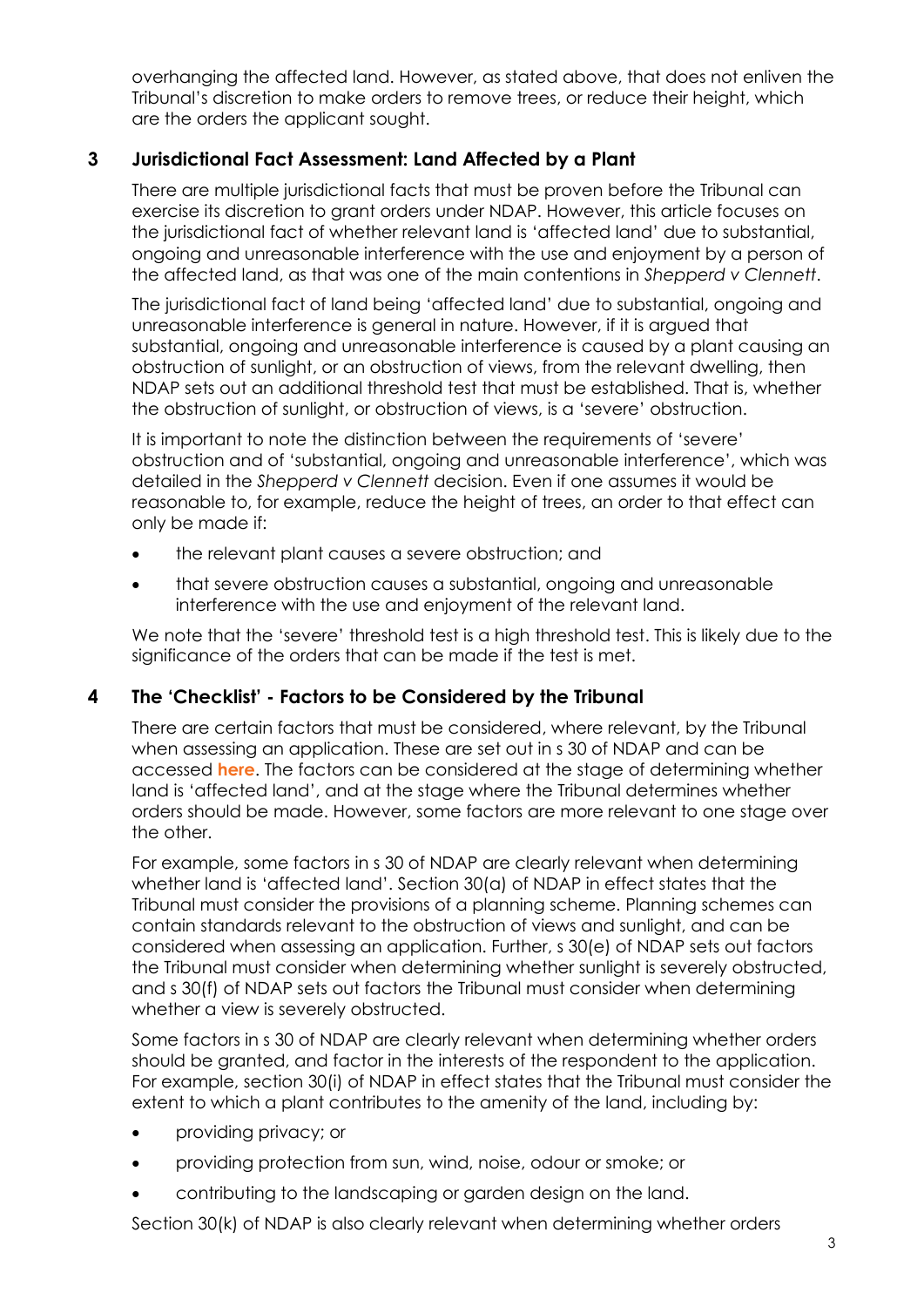overhanging the affected land. However, as stated above, that does not enliven the Tribunal's discretion to make orders to remove trees, or reduce their height, which are the orders the applicant sought.

# **3 Jurisdictional Fact Assessment: Land Affected by a Plant**

There are multiple jurisdictional facts that must be proven before the Tribunal can exercise its discretion to grant orders under NDAP. However, this article focuses on the jurisdictional fact of whether relevant land is 'affected land' due to substantial, ongoing and unreasonable interference with the use and enjoyment by a person of the affected land, as that was one of the main contentions in *Shepperd v Clennett*.

The jurisdictional fact of land being 'affected land' due to substantial, ongoing and unreasonable interference is general in nature. However, if it is argued that substantial, ongoing and unreasonable interference is caused by a plant causing an obstruction of sunlight, or an obstruction of views, from the relevant dwelling, then NDAP sets out an additional threshold test that must be established. That is, whether the obstruction of sunlight, or obstruction of views, is a 'severe' obstruction.

It is important to note the distinction between the requirements of 'severe' obstruction and of 'substantial, ongoing and unreasonable interference', which was detailed in the *Shepperd v Clennett* decision. Even if one assumes it would be reasonable to, for example, reduce the height of trees, an order to that effect can only be made if:

- the relevant plant causes a severe obstruction; and
- that severe obstruction causes a substantial, ongoing and unreasonable interference with the use and enjoyment of the relevant land.

We note that the 'severe' threshold test is a high threshold test. This is likely due to the significance of the orders that can be made if the test is met.

# **4 The 'Checklist' - Factors to be Considered by the Tribunal**

There are certain factors that must be considered, where relevant, by the Tribunal when assessing an application. These are set out in s 30 of NDAP and can be accessed **[here](https://www.legislation.tas.gov.au/view/html/inforce/current/act-2017-032#GS30@EN)**. The factors can be considered at the stage of determining whether land is 'affected land', and at the stage where the Tribunal determines whether orders should be made. However, some factors are more relevant to one stage over the other.

For example, some factors in s 30 of NDAP are clearly relevant when determining whether land is 'affected land'. Section 30(a) of NDAP in effect states that the Tribunal must consider the provisions of a planning scheme. Planning schemes can contain standards relevant to the obstruction of views and sunlight, and can be considered when assessing an application. Further, s 30(e) of NDAP sets out factors the Tribunal must consider when determining whether sunlight is severely obstructed, and s 30(f) of NDAP sets out factors the Tribunal must consider when determining whether a view is severely obstructed.

Some factors in s 30 of NDAP are clearly relevant when determining whether orders should be granted, and factor in the interests of the respondent to the application. For example, section 30(i) of NDAP in effect states that the Tribunal must consider the extent to which a plant contributes to the amenity of the land, including by:

- providing privacy; or
- providing protection from sun, wind, noise, odour or smoke; or
- contributing to the landscaping or garden design on the land.

Section 30(k) of NDAP is also clearly relevant when determining whether orders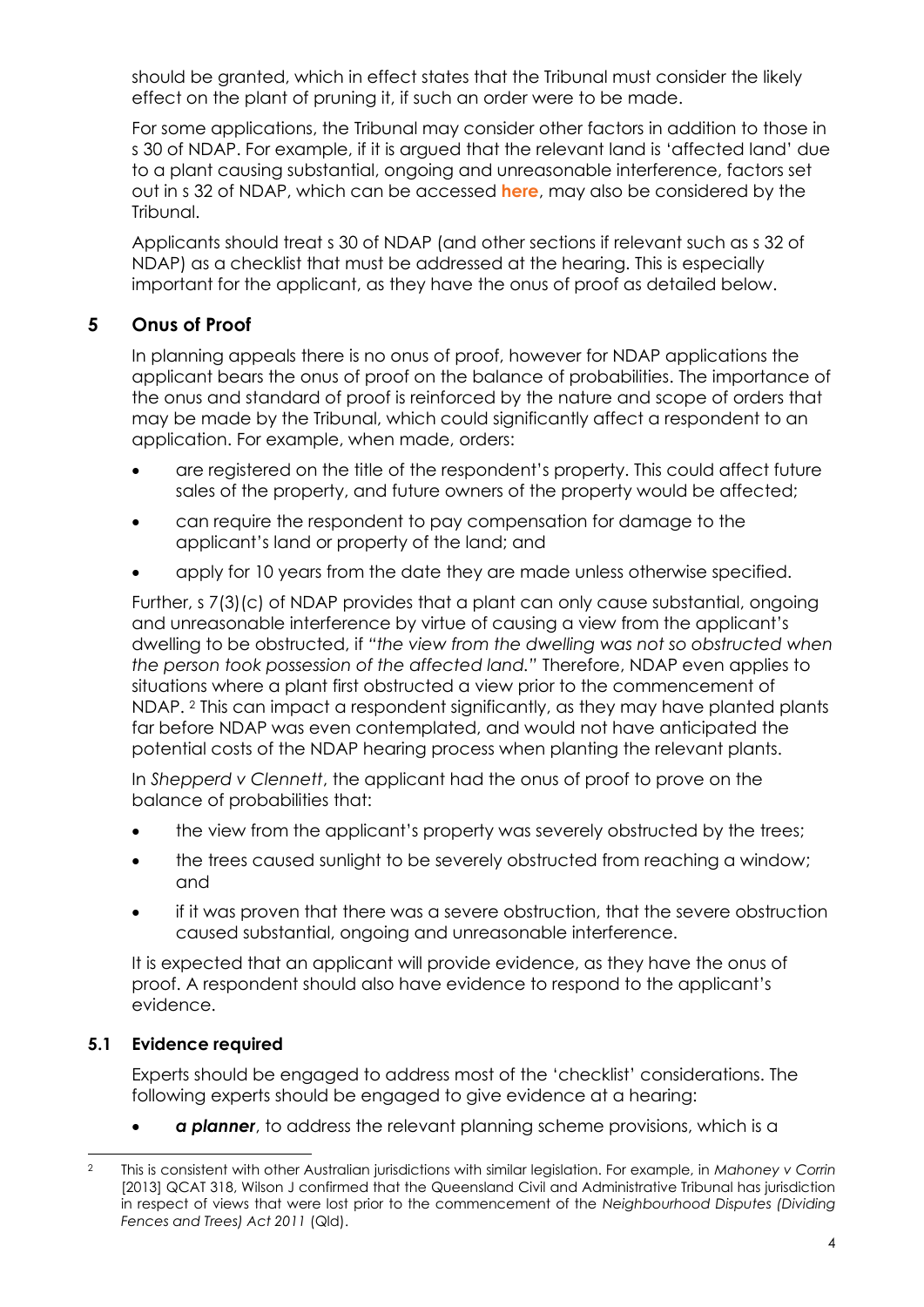should be granted, which in effect states that the Tribunal must consider the likely effect on the plant of pruning it, if such an order were to be made.

For some applications, the Tribunal may consider other factors in addition to those in s 30 of NDAP. For example, if it is argued that the relevant land is 'affected land' due to a plant causing substantial, ongoing and unreasonable interference, factors set out in s 32 of NDAP, which can be accessed **[here](https://www.legislation.tas.gov.au/view/html/inforce/current/act-2017-032#GS32@EN)**, may also be considered by the Tribunal.

Applicants should treat s 30 of NDAP (and other sections if relevant such as s 32 of NDAP) as a checklist that must be addressed at the hearing. This is especially important for the applicant, as they have the onus of proof as detailed below.

# **5 Onus of Proof**

In planning appeals there is no onus of proof, however for NDAP applications the applicant bears the onus of proof on the balance of probabilities. The importance of the onus and standard of proof is reinforced by the nature and scope of orders that may be made by the Tribunal, which could significantly affect a respondent to an application. For example, when made, orders:

- are registered on the title of the respondent's property. This could affect future sales of the property, and future owners of the property would be affected;
- can require the respondent to pay compensation for damage to the applicant's land or property of the land; and
- apply for 10 years from the date they are made unless otherwise specified.

Further, s 7(3)(c) of NDAP provides that a plant can only cause substantial, ongoing and unreasonable interference by virtue of causing a view from the applicant's dwelling to be obstructed, if *"the view from the dwelling was not so obstructed when the person took possession of the affected land."* Therefore, NDAP even applies to situations where a plant first obstructed a view prior to the commencement of NDAP. <sup>2</sup> This can impact a respondent significantly, as they may have planted plants far before NDAP was even contemplated, and would not have anticipated the potential costs of the NDAP hearing process when planting the relevant plants.

In *Shepperd v Clennett*, the applicant had the onus of proof to prove on the balance of probabilities that:

- the view from the applicant's property was severely obstructed by the trees;
- the trees caused sunlight to be severely obstructed from reaching a window; and
- if it was proven that there was a severe obstruction, that the severe obstruction caused substantial, ongoing and unreasonable interference.

It is expected that an applicant will provide evidence, as they have the onus of proof. A respondent should also have evidence to respond to the applicant's evidence.

# **5.1 Evidence required**

Experts should be engaged to address most of the 'checklist' considerations. The following experts should be engaged to give evidence at a hearing:

• *a planner*, to address the relevant planning scheme provisions, which is a

<sup>2</sup> This is consistent with other Australian jurisdictions with similar legislation. For example, in *Mahoney v Corrin* [2013] QCAT 318, Wilson J confirmed that the Queensland Civil and Administrative Tribunal has jurisdiction in respect of views that were lost prior to the commencement of the *Neighbourhood Disputes (Dividing Fences and Trees) Act 2011* (Qld).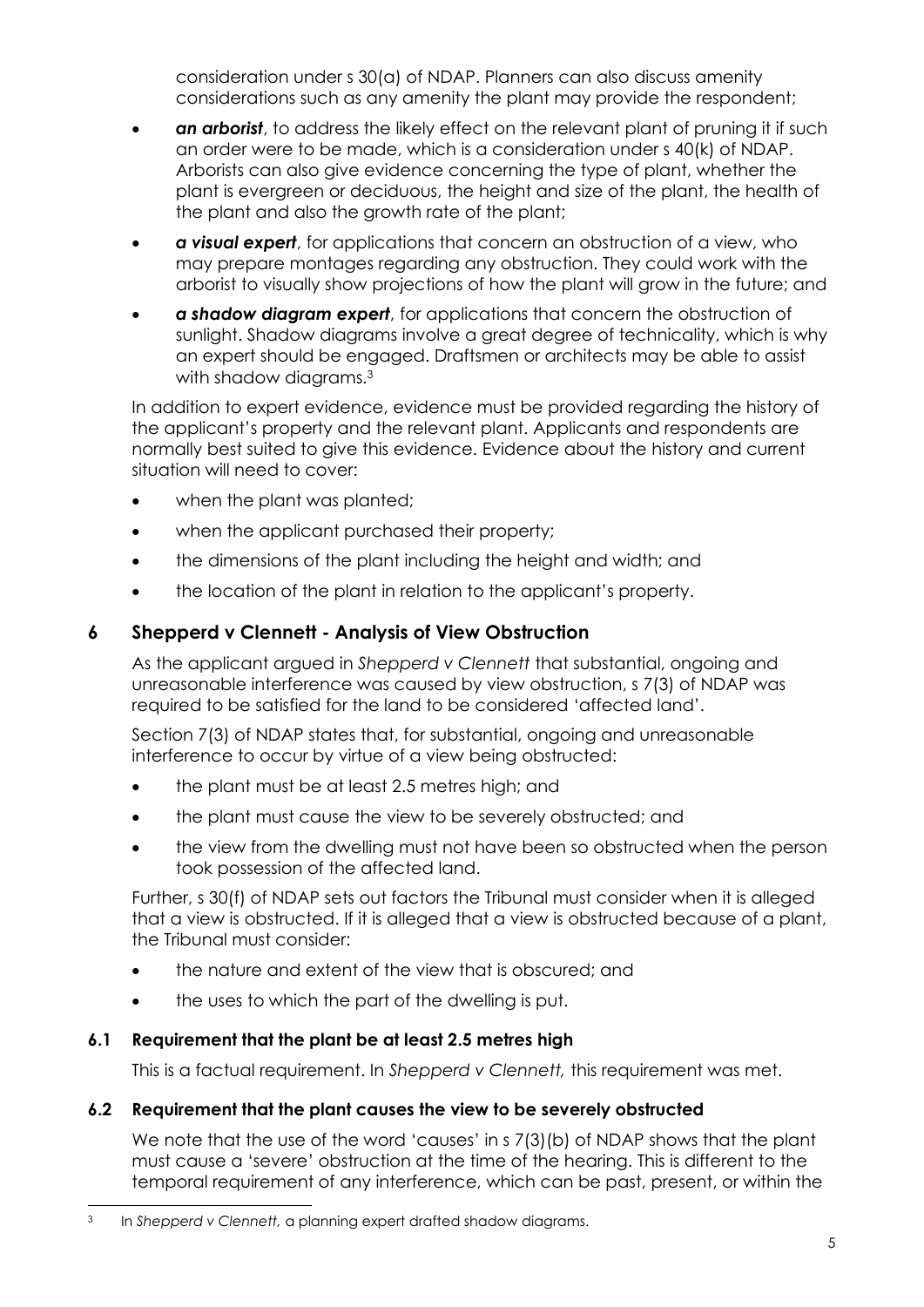consideration under s 30(a) of NDAP. Planners can also discuss amenity considerations such as any amenity the plant may provide the respondent;

- *an arborist*, to address the likely effect on the relevant plant of pruning it if such an order were to be made, which is a consideration under s 40(k) of NDAP. Arborists can also give evidence concerning the type of plant, whether the plant is evergreen or deciduous, the height and size of the plant, the health of the plant and also the growth rate of the plant;
- *a visual expert*, for applications that concern an obstruction of a view, who may prepare montages regarding any obstruction. They could work with the arborist to visually show projections of how the plant will grow in the future; and
- *a shadow diagram expert*, for applications that concern the obstruction of sunlight. Shadow diagrams involve a great degree of technicality, which is why an expert should be engaged. Draftsmen or architects may be able to assist with shadow diagrams.<sup>3</sup>

In addition to expert evidence, evidence must be provided regarding the history of the applicant's property and the relevant plant. Applicants and respondents are normally best suited to give this evidence. Evidence about the history and current situation will need to cover:

- when the plant was planted;
- when the applicant purchased their property;
- the dimensions of the plant including the height and width; and
- the location of the plant in relation to the applicant's property.

# **6 Shepperd v Clennett - Analysis of View Obstruction**

As the applicant argued in *Shepperd v Clennett* that substantial, ongoing and unreasonable interference was caused by view obstruction, s 7(3) of NDAP was required to be satisfied for the land to be considered 'affected land'.

Section 7(3) of NDAP states that, for substantial, ongoing and unreasonable interference to occur by virtue of a view being obstructed:

- the plant must be at least 2.5 metres high; and
- the plant must cause the view to be severely obstructed; and
- the view from the dwelling must not have been so obstructed when the person took possession of the affected land.

Further, s 30(f) of NDAP sets out factors the Tribunal must consider when it is alleged that a view is obstructed. If it is alleged that a view is obstructed because of a plant, the Tribunal must consider:

- the nature and extent of the view that is obscured; and
- the uses to which the part of the dwelling is put.

# **6.1 Requirement that the plant be at least 2.5 metres high**

This is a factual requirement. In *Shepperd v Clennett,* this requirement was met.

# **6.2 Requirement that the plant causes the view to be severely obstructed**

We note that the use of the word 'causes' in s 7(3)(b) of NDAP shows that the plant must cause a 'severe' obstruction at the time of the hearing. This is different to the temporal requirement of any interference, which can be past, present, or within the

<sup>3</sup> In *Shepperd v Clennett,* a planning expert drafted shadow diagrams.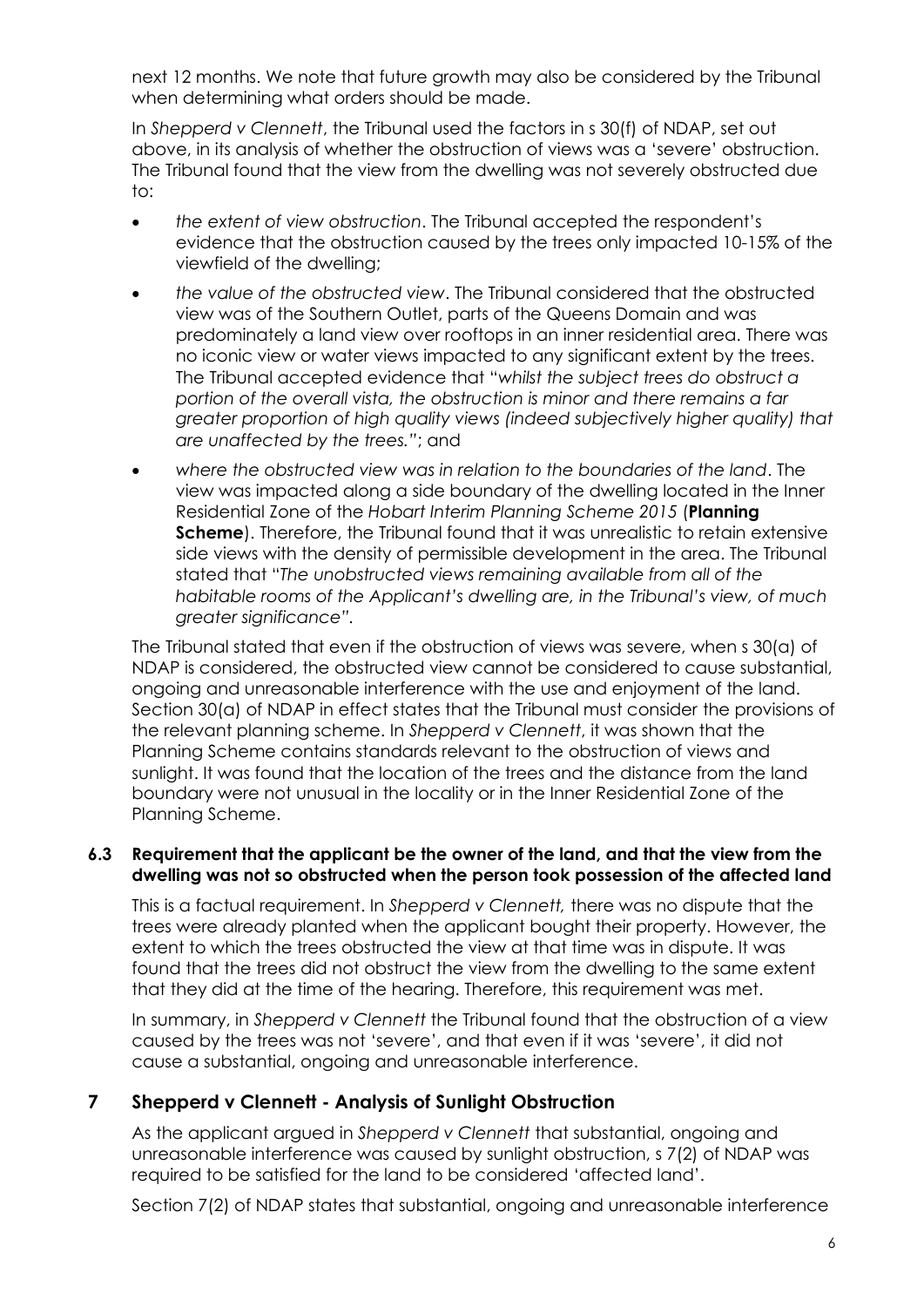next 12 months. We note that future growth may also be considered by the Tribunal when determining what orders should be made.

In *Shepperd v Clennett*, the Tribunal used the factors in s 30(f) of NDAP, set out above, in its analysis of whether the obstruction of views was a 'severe' obstruction. The Tribunal found that the view from the dwelling was not severely obstructed due to:

- *the extent of view obstruction*. The Tribunal accepted the respondent's evidence that the obstruction caused by the trees only impacted 10-15% of the viewfield of the dwelling;
- *the value of the obstructed view*. The Tribunal considered that the obstructed view was of the Southern Outlet, parts of the Queens Domain and was predominately a land view over rooftops in an inner residential area. There was no iconic view or water views impacted to any significant extent by the trees. The Tribunal accepted evidence that "*whilst the subject trees do obstruct a portion of the overall vista, the obstruction is minor and there remains a far greater proportion of high quality views (indeed subjectively higher quality) that are unaffected by the trees."*; and
- *where the obstructed view was in relation to the boundaries of the land*. The view was impacted along a side boundary of the dwelling located in the Inner Residential Zone of the *Hobart Interim Planning Scheme 2015* (**Planning Scheme**). Therefore, the Tribunal found that it was unrealistic to retain extensive side views with the density of permissible development in the area. The Tribunal stated that "*The unobstructed views remaining available from all of the habitable rooms of the Applicant's dwelling are, in the Tribunal's view, of much greater significance".*

The Tribunal stated that even if the obstruction of views was severe, when s 30(a) of NDAP is considered, the obstructed view cannot be considered to cause substantial, ongoing and unreasonable interference with the use and enjoyment of the land. Section 30(a) of NDAP in effect states that the Tribunal must consider the provisions of the relevant planning scheme. In *Shepperd v Clennett*, it was shown that the Planning Scheme contains standards relevant to the obstruction of views and sunlight. It was found that the location of the trees and the distance from the land boundary were not unusual in the locality or in the Inner Residential Zone of the Planning Scheme.

#### **6.3 Requirement that the applicant be the owner of the land, and that the view from the dwelling was not so obstructed when the person took possession of the affected land**

This is a factual requirement. In *Shepperd v Clennett,* there was no dispute that the trees were already planted when the applicant bought their property. However, the extent to which the trees obstructed the view at that time was in dispute. It was found that the trees did not obstruct the view from the dwelling to the same extent that they did at the time of the hearing. Therefore, this requirement was met.

In summary, in *Shepperd v Clennett* the Tribunal found that the obstruction of a view caused by the trees was not 'severe', and that even if it was 'severe', it did not cause a substantial, ongoing and unreasonable interference.

# **7 Shepperd v Clennett - Analysis of Sunlight Obstruction**

As the applicant argued in *Shepperd v Clennett* that substantial, ongoing and unreasonable interference was caused by sunlight obstruction, s 7(2) of NDAP was required to be satisfied for the land to be considered 'affected land'.

Section 7(2) of NDAP states that substantial, ongoing and unreasonable interference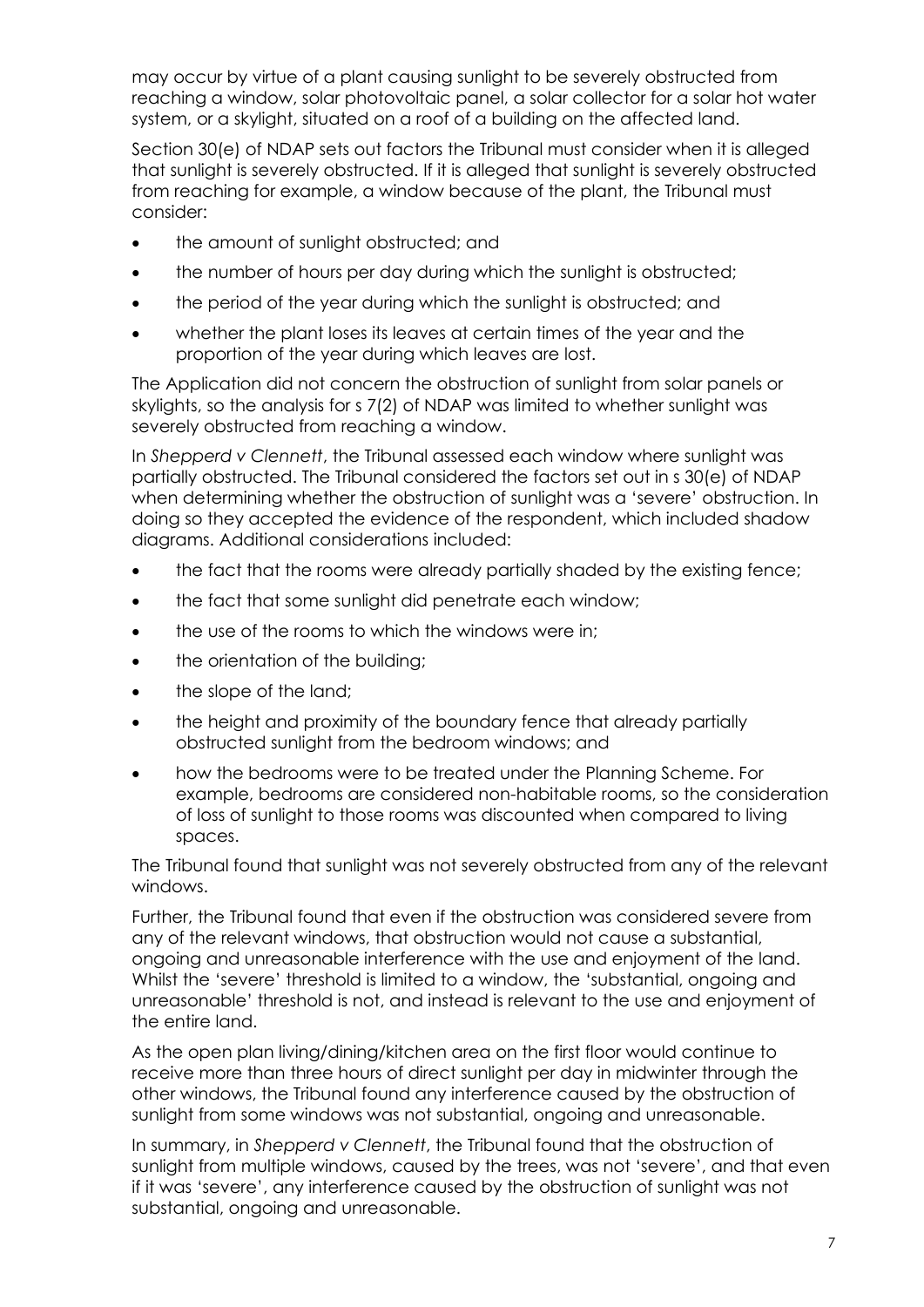may occur by virtue of a plant causing sunlight to be severely obstructed from reaching a window, solar photovoltaic panel, a solar collector for a solar hot water system, or a skylight, situated on a roof of a building on the affected land.

Section 30(e) of NDAP sets out factors the Tribunal must consider when it is alleged that sunlight is severely obstructed. If it is alleged that sunlight is severely obstructed from reaching for example, a window because of the plant, the Tribunal must consider:

- the amount of sunlight obstructed; and
- the number of hours per day during which the sunlight is obstructed:
- the period of the year during which the sunlight is obstructed; and
- whether the plant loses its leaves at certain times of the year and the proportion of the year during which leaves are lost.

The Application did not concern the obstruction of sunlight from solar panels or skylights, so the analysis for s 7(2) of NDAP was limited to whether sunlight was severely obstructed from reaching a window.

In *Shepperd v Clennett*, the Tribunal assessed each window where sunlight was partially obstructed. The Tribunal considered the factors set out in s 30(e) of NDAP when determining whether the obstruction of sunlight was a 'severe' obstruction. In doing so they accepted the evidence of the respondent, which included shadow diagrams. Additional considerations included:

- the fact that the rooms were already partially shaded by the existing fence;
- the fact that some sunlight did penetrate each window;
- the use of the rooms to which the windows were in:
- the orientation of the building;
- the slope of the land;
- the height and proximity of the boundary fence that already partially obstructed sunlight from the bedroom windows; and
- how the bedrooms were to be treated under the Planning Scheme. For example, bedrooms are considered non-habitable rooms, so the consideration of loss of sunlight to those rooms was discounted when compared to living spaces.

The Tribunal found that sunlight was not severely obstructed from any of the relevant windows.

Further, the Tribunal found that even if the obstruction was considered severe from any of the relevant windows, that obstruction would not cause a substantial, ongoing and unreasonable interference with the use and enjoyment of the land. Whilst the 'severe' threshold is limited to a window, the 'substantial, ongoing and unreasonable' threshold is not, and instead is relevant to the use and enjoyment of the entire land.

As the open plan living/dining/kitchen area on the first floor would continue to receive more than three hours of direct sunlight per day in midwinter through the other windows, the Tribunal found any interference caused by the obstruction of sunlight from some windows was not substantial, ongoing and unreasonable.

In summary, in *Shepperd v Clennett*, the Tribunal found that the obstruction of sunlight from multiple windows, caused by the trees, was not 'severe', and that even if it was 'severe', any interference caused by the obstruction of sunlight was not substantial, ongoing and unreasonable.